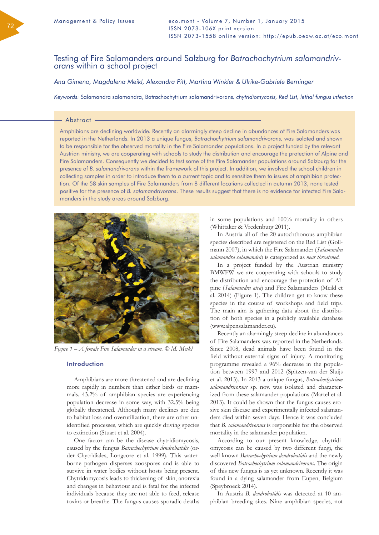# Testing of Fire Salamanders around Salzburg for *Batrachochytrium salamandriv- orans* within a school project

*Ana Gimeno, Magdalena Meikl, Alexandra Pitt, Martina Winkler & Ulrike-Gabriele Berninger*

*Keywords:* Salamandra salamandra, Batrachochytrium salamandrivorans*, chytridiomycosis, Red List, lethal fungus infection*

#### Abstract

Amphibians are declining worldwide. Recently an alarmingly steep decline in abundances of Fire Salamanders was reported in the Netherlands. In 2013 a unique fungus, *Batrachochytrium salamandrivorans,* was isolated and shown to be responsible for the observed mortality in the Fire Salamander populations. In a project funded by the relevant Austrian ministry, we are cooperating with schools to study the distribution and encourage the protection of Alpine and Fire Salamanders. Consequently we decided to test some of the Fire Salamander populations around Salzburg for the presence of *B. salamandrivorans* within the framework of this project. In addition, we involved the school children in collecting samples in order to introduce them to a current topic and to sensitize them to issues of amphibian protection. Of the 58 skin samples of Fire Salamanders from 8 different locations collected in autumn 2013, none tested positive for the presence of *B. salamandrivorans*. These results suggest that there is no evidence for infected Fire Salamanders in the study areas around Salzburg.



*Figure 1 – A female Fire Salamander in a stream. © M. Meikl*

## Introduction

Amphibians are more threatened and are declining more rapidly in numbers than either birds or mammals. 43.2% of amphibian species are experiencing population decrease in some way, with 32.5% being globally threatened. Although many declines are due to habitat loss and overutilization, there are other unidentified processes, which are quickly driving species to extinction (Stuart et al. 2004).

One factor can be the disease chytridiomycosis, caused by the fungus *Batrachochytrium dendrobatidis* (order Chytridiales, Longcore et al. 1999). This waterborne pathogen disperses zoospores and is able to survive in water bodies without hosts being present. Chytridomycosis leads to thickening of skin, anorexia and changes in behaviour and is fatal for the infected individuals because they are not able to feed, release toxins or breathe. The fungus causes sporadic deaths

in some populations and 100% mortality in others (Whittaker & Vredenburg 2011).

In Austria all of the 20 autochthonous amphibian species described are registered on the Red List (Gollmann 2007), in which the Fire Salamander (*Salamandra salamandra salamandra*) is categorized as *near threatened*.

In a project funded by the Austrian ministry BMWFW we are cooperating with schools to study the distribution and encourage the protection of Alpine (*Salamandra atra*) and Fire Salamanders (Meikl et al. 2014) (Figure 1). The children get to know these species in the course of workshops and field trips. The main aim is gathering data about the distribution of both species in a publicly available database (www.alpensalamander.eu).

Recently an alarmingly steep decline in abundances of Fire Salamanders was reported in the Netherlands. Since 2008, dead animals have been found in the field without external signs of injury. A monitoring programme revealed a 96% decrease in the population between 1997 and 2012 (Spitzen-van der Sluijs et al. 2013). In 2013 a unique fungus, *Batrachochytrium salamandrivorans* sp. nov. was isolated and characterized from these salamander populations (Martel et al. 2013). It could be shown that the fungus causes erosive skin disease and experimentally infected salamanders died within seven days. Hence it was concluded that *B. salamandrivorans* is responsible for the observed mortality in the salamander population.

According to our present knowledge, chytridiomycosis can be caused by two different fungi, the well-known *Batrachochytrium dendrobatidis* and the newly discovered *Batrachochytrium salamandrivorans*. The origin of this new fungus is as yet unknown. Recently it was found in a dying salamander from Eupen, Belgium (Speybroeck 2014).

In Austria *B. dendrobatidis* was detected at 10 amphibian breeding sites. Nine amphibian species, not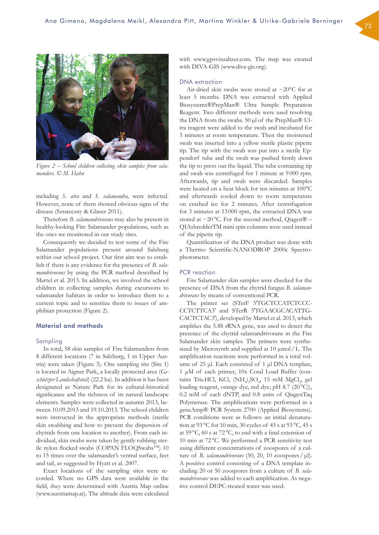

*Figure 2 – School children collecting skin samples from salamanders. © M. Hahn*

including *S. atra* and *S. salamandra,* were infected. However, none of them showed obvious signs of the disease (Sztatecsny & Glaser 2011).

Therefore *B. salamandrivorans* may also be present in healthy-looking Fire Salamander populations, such as the ones we monitored in our study sites.

Consequently we decided to test some of the Fire Salamander populations present around Salzburg within our school project. Our first aim was to establish if there is any evidence for the presence of *B. salamandrivorans* by using the PCR method described by Martel et al. 2013. In addition, we involved the school children in collecting samples during excursions to salamander habitats in order to introduce them to a current topic and to sensitize them to issues of amphibian protection (Figure 2).

# Material and methods

# Sampling

In total, 58 skin samples of Fire Salamanders from 8 different locations (7 in Salzburg, 1 in Upper Austria) were taken (Figure 3). One sampling site (Site 1) is located in Aigner Park, a locally protected area (*Geschützter Landschaftsteil*) (22.2 ha). In addition it has been designated as Nature Park for its cultural-historical significance and the richness of its natural landscape elements. Samples were collected in autumn 2013, between 10.09.2013 and 19.10.2013. The school children were instructed in the appropriate methods (sterile skin swabbing and how to prevent the dispersion of chytrids from one location to another). From each individual, skin swabs were taken by gently rubbing sterile nylon flocked swabs (COPAN FLOQSwabsTM) 10 to 15 times over the salamander's ventral surface, feet and tail, as suggested by Hyatt et al. 2007.

Exact locations of the sampling sites were recorded. Where no GPS data were available in the field, they were determined with Austria Map online (www.austriamap.at). The altitude data were calculated

with www.gpsvisualizer.com. The map was created with DIVA-GIS (www.diva-gis.org).

#### DNA extraction

Air-dried skin swabs were stored at −20°C for at least 5 months. DNA was extracted with Applied Biosystems®PrepMan® Ultra Sample Preparation Reagent. Two different methods were used resolving the DNA from the swabs. 50 µl of the PrepMan® Ultra reagent were added to the swab and incubated for 5 minutes at room temperature. Then the moistened swab was inserted into a yellow sterile plastic pipette tip. The tip with the swab was put into a sterile Eppendorf tube and the swab was pushed firmly down the tip to press out the liquid. The tube containing tip and swab was centrifuged for 1 minute at 9 000 rpm. Afterwards, tip and swab were discarded. Samples were heated on a heat block for ten minutes at 100°C and afterwards cooled down to room temperature on crashed ice for 2 minutes. After centrifugation for 3 minutes at 13 000 rpm, the extracted DNA was stored at −20 °C. For the second method, Qiagen® – QIAshredderTM mini spin columns were used instead of the pipette tip.

Quantification of the DNA product was done with a Thermo Scientific-NANODROP 2000c Spectrophotometer.

#### PCR reaction

Fire Salamander skin samples were checked for the presence of DNA from the chytrid fungus *B. salamandrivorans* by means of conventional PCR.

The primer set (STerF 5'TGCTCCATCTCCC-CCTCTTCA3′ and STerR 5′TGAACGCACATTG-CACTCTAC3′), developed by Martel et al. 2013, which amplifies the 5.8S rRNA gene, was used to detect the presence of the chytrid salamandrivorans in the Fire Salamander skin samples. The primers were synthesized by Microsynth and supplied at 10 μmol /L. The amplification reactions were performed in a total volume of 25 μl. Each consisted of 1 μl DNA template, 1 μM of each primer, 10x Coral Load Buffer (contains Tris.HCl, KCl,  $(NH_{\psi_2}SO_{\phi}$ , 15 mM  $MgCl_{\psi}$ , gel loading reagent, orange dye, red dye; pH 8.7 (20 $^{\circ}$ C)), 0.2 mM of each dNTP, and 0.8 units of QiagenTaq Polymerase. The amplifications were performed in a geneAmp® PCR System 2700 (Applied Biosystems). PCR conditions were as follows: an initial denaturation at 93 °C for 10 min, 30 cycles of 45 s at 93 °C, 45 s at 59 °C, 60 s at 72 °C, to end with a final extension of 10 min at 72 °C. We performed a PCR sensitivity test using different concentrations of zoospores of a culture of *B. salamandrivorans* (50, 20, 10 zoospores / μl). A positive control consisting of a DNA template including 20 or 50 zoospores from a culture of *B. salamandrivorans* was added to each amplification. As negative control DEPC-treated water was used.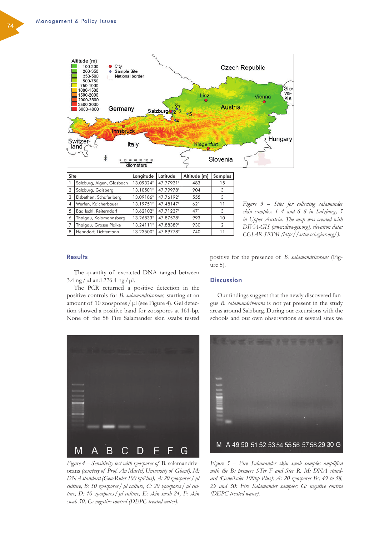

| Site           |                           | Longitude | Latitude  | Altitude [m] | Samples        |
|----------------|---------------------------|-----------|-----------|--------------|----------------|
|                | Salzburg, Aigen, Glasbach | 13.09324° | 47.77921° | 483          | 15             |
| $\overline{2}$ | Salzburg, Gaisberg        | 13.10501° | 47.79978° | 904          | 3              |
| 3              | Elsbethen, Schaferlberg   | 13.09186° | 47.76192° | 555          | 3              |
| $\overline{4}$ | Werfen, Kalcherbauer      | 13.19751° | 47.48147° | 621          | 11             |
| 5              | Bad Ischl, Reiterndorf    | 13.62102° | 47.71237° | 471          | 3              |
| 6              | Thalgau, Kolomannsberg    | 13.26833° | 47.87528° | 993          | 10             |
| 7              | Thalgau, Grosse Plaike    | 13.24111° | 47.88389° | 930          | $\overline{2}$ |
| 8              | Henndorf, Lichtentann     | 13.23500° | 47.89778° | 740          | 11             |

*Figure 3 – Sites for collecting salamander skin samples: 1–4 and 6–8 in Salzburg, 5 in Upper Austria. The map was created with DIVA-GIS (www.diva-gis.org), elevation data: CGIAR-SRTM (http://srtm.csi.cgiar.org/).*

# **Results**

The quantity of extracted DNA ranged between 3.4 ng /  $\mu$ l and 226.4 ng /  $\mu$ l.

The PCR returned a positive detection in the positive controls for *B. salamandrivorans,* starting at an amount of 10 zoospores / μl (see Figure 4). Gel detection showed a positive band for zoospores at 161-bp. None of the 58 Fire Salamander skin swabs tested

positive for the presence of *B. salamandrivorans* (Figure 5).

## **Discussion**

Our findings suggest that the newly discovered fungus *B. salamandrivorans* is not yet present in the study areas around Salzburg. During our excursions with the schools and our own observations at several sites we



*Figure 4 – Sensitivity test with zoospores of* B. salamandrivorans *(courtesy of Prof. An Martel, University of Ghent). M: DNA standard (GeneRuler 100 bpPlus), A: 20 zoospores/μl culture, B: 50 zoospores/μl culture, C: 20 zoospores/ μl culture, D: 10 zoospores/μl culture, E: skin swab 24, F: skin swab 50, G: negative control (DEPC-treated water).*



*Figure 5 – Fire Salamander skin swab samples amplified with the Bs primers STer F and Ster R. M: DNA standard (GeneRuler 100bp Plus); A: 20 zoospores Bs; 49 to 58, 29 and 30: Fire Salamander samples; G: negative control (DEPC-treated water).*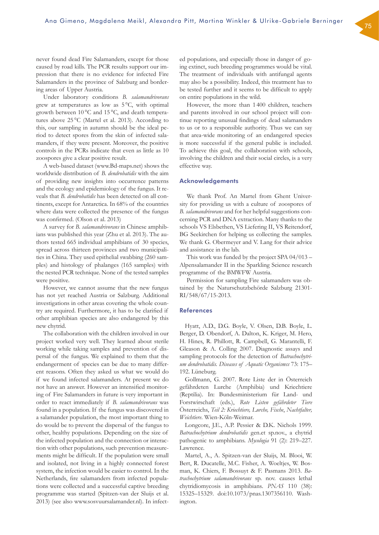never found dead Fire Salamanders, except for those caused by road kills. The PCR results support our impression that there is no evidence for infected Fire Salamanders in the province of Salzburg and bordering areas of Upper Austria.

Under laboratory conditions *B. salamandrivorans* grew at temperatures as low as  $5^{\circ}$ C, with optimal growth between  $10^{\circ}$ C and  $15^{\circ}$ C, and death temperatures above 25 °C (Martel et al. 2013). According to this, our sampling in autumn should be the ideal period to detect spores from the skin of infected salamanders, if they were present. Moreover, the positive controls in the PCRs indicate that even as little as 10 zoospores give a clear positive result.

A web-based dataset (www.Bd-maps.net) shows the worldwide distribution of *B. dendrobatidis* with the aim of providing new insights into occurrence patterns and the ecology and epidemiology of the fungus. It reveals that *B. dendrobatidis* has been detected on all continents, except for Antarctica. In 68% of the countries where data were collected the presence of the fungus was confirmed. (Olson et al. 2013)

A survey for *B. salamandrivorans* in Chinese amphibians was published this year (Zhu et al. 2013). The authors tested 665 individual amphibians of 30 species, spread across thirteen provinces and two municipalities in China. They used epithelial swabbing (260 samples) and histology of phalanges (165 samples) with the nested PCR technique. None of the tested samples were positive.

However, we cannot assume that the new fungus has not yet reached Austria or Salzburg. Additional investigations in other areas covering the whole country are required. Furthermore, it has to be clarified if other amphibian species are also endangered by this new chytrid.

The collaboration with the children involved in our project worked very well. They learned about sterile working while taking samples and prevention of dispersal of the fungus. We explained to them that the endangerment of species can be due to many different reasons. Often they asked us what we would do if we found infected salamanders. At present we do not have an answer. However an intensified monitoring of Fire Salamanders in future is very important in order to react immediately if *B. salamandrivorans* was found in a population. If the fungus was discovered in a salamander population, the most important thing to do would be to prevent the dispersal of the fungus to other, healthy populations. Depending on the size of the infected population and the connection or interaction with other populations, such prevention measurements might be difficult. If the population were small and isolated, not living in a highly connected forest system, the infection would be easier to control. In the Netherlands, fire salamanders from infected populations were collected and a successful captive breeding programme was started (Spitzen-van der Sluijs et al. 2013) (see also www.sosvuursalamander.nl). In infected populations, and especially those in danger of going extinct, such breeding programmes would be vital. The treatment of individuals with antifungal agents may also be a possibility. Indeed, this treatment has to be tested further and it seems to be difficult to apply on entire populations in the wild.

However, the more than 1 400 children, teachers and parents involved in our school project will continue reporting unusual findings of dead salamanders to us or to a responsible authority. Thus we can say that area-wide monitoring of an endangered species is more successful if the general public is included. To achieve this goal, the collaboration with schools, involving the children and their social circles, is a very effective way.

#### Acknowledgements

We thank Prof. An Martel from Ghent University for providing us with a culture of zoospores of *B. salamandrivorans* and for her helpful suggestions concerning PCR and DNA extraction. Many thanks to the schools VS Elsbethen, VS Liefering II, VS Reitendorf, BG Seekirchen for helping us collecting the samples. We thank G. Obermeyer and V. Lang for their advice and assistance in the lab.

This work was funded by the project SPA 04/013 – Alpensalamander II in the Sparkling Science research programme of the BMWFW Austria.

Permission for sampling Fire salamanders was obtained by the Naturschutzbehörde Salzburg 21301-RI/548/67/15-2013.

## References

Hyatt, A.D., D.G. Boyle, V. Olsen, D.B. Boyle, L. Berger, D. Obendorf, A. Dalton, K. Kriger, M. Hero, H. Hines, R. Phillott, R. Campbell, G. Marantelli, F. Gleason & A. Colling 2007. Diagnostic assays and sampling protocols for the detection of *Batrachochytrium dendrobatidis. Diseases of Aquatic Organismss* 73: 175– 192. Lüneburg.

Gollmann, G. 2007. Rote Liste der in Österreich gefährdeten Lurche (Amphibia) und Kriechtiere (Reptilia). In: Bundesministerium für Land- und Forstwirschaft (eds.), *Rote Listen gefährdeter Tiere*  Österreichs, *Teil 2: Kriechtiere, Lurche, Fische*, *Nachtfalter, Weichtiere*. Wien-Köln-Weimar.

Longcore, J.E., A.P. Pessier & D.K. Nichols 1999. *Batrachochytrium dendrobatidis* gen.et sp.nov., a chytrid pathogenic to amphibians. *Mycologia* 91 (2): 219–227. Lawrence.

Martel, A., A. Spitzen-van der Sluijs, M. Blooi, W. Bert, R. Ducatelle, M.C. Fisher, A. Woeltjes, W. Bosman, K. Chiers, F. Bossuyt & F. Pasmans 2013. *Batrachochytrium salamandrivorans* sp. nov. causes lethal chytridiomycosis in amphibians*. PNAS* 110 (38): 15325–15329. doi:10.1073/pnas.1307356110. Washington.